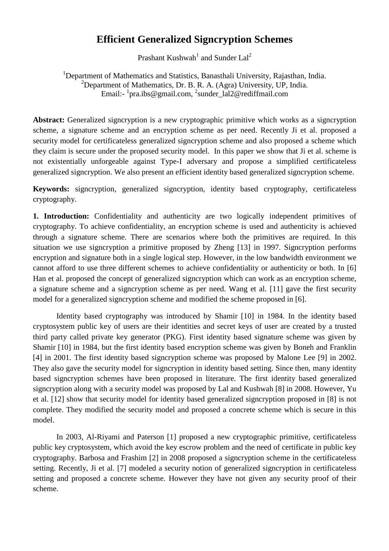# **Efficient Generalized Signcryption Schemes**

Prashant Kushwah<sup>1</sup> and Sunder Lal<sup>2</sup>

<sup>1</sup>Department of Mathematics and Statistics, Banasthali University, Rajasthan, India. <sup>2</sup>Department of Mathematics, Dr. B. R. A. (Agra) University, UP, India. Email:- <sup>1</sup>pra.ibs@gmail.com, <sup>2</sup>sunder\_lal2@rediffmail.com

Abstract: Generalized signcryption is a new cryptographic primitive which works as a signcryption scheme, a signature scheme and an encryption scheme as per need. Recently Ji et al. proposed a security model for certificateless generalized signcryption scheme and also proposed a scheme which they claim is secure under the proposed security model. In this paper we show that Ji et al. scheme is not existentially unforgeable against Type-I adversary and propose a simplified certificateless generalized signcryption. We also present an efficient identity based generalized signcryption scheme.

**Keywords:** signcryption, generalized signcryption, identity based cryptography, certificateless cryptography.

1. Introduction: Confidentiality and authenticity are two logically independent primitives of cryptography. To achieve confidentiality, an encryption scheme is used and authenticity is achieved through a signature scheme. There are scenarios where both the primitives are required. In this situation we use signcryption a primitive proposed by Zheng [13] in 1997. Signcryption performs encryption and signature both in a single logical step. However, in the low bandwidth environment we cannot afford to use three different schemes to achieve confidentiality or authenticity or both. In [6] Han et al. proposed the concept of generalized signcryption which can work as an encryption scheme, a signature scheme and a signcryption scheme as per need. Wang et al. [11] gave the first security model for a generalized signcryption scheme and modified the scheme proposed in [6].

 Identity based cryptography was introduced by Shamir [10] in 1984. In the identity based cryptosystem public key of users are their identities and secret keys of user are created by a trusted third party called private key generator (PKG). First identity based signature scheme was given by Shamir [10] in 1984, but the first identity based encryption scheme was given by Boneh and Franklin [4] in 2001. The first identity based signcryption scheme was proposed by Malone Lee [9] in 2002. They also gave the security model for signcryption in identity based setting. Since then, many identity based signcryption schemes have been proposed in literature. The first identity based generalized signcryption along with a security model was proposed by Lal and Kushwah [8] in 2008. However, Yu et al. [12] show that security model for identity based generalized signcryption proposed in [8] is not complete. They modified the security model and proposed a concrete scheme which is secure in this model.

 In 2003, Al-Riyami and Paterson [1] proposed a new cryptographic primitive, certificateless public key cryptosystem, which avoid the key escrow problem and the need of certificate in public key cryptography. Barbosa and Frashim [2] in 2008 proposed a signcryption scheme in the certificateless setting. Recently, Ji et al. [7] modeled a security notion of generalized signcryption in certificateless setting and proposed a concrete scheme. However they have not given any security proof of their scheme.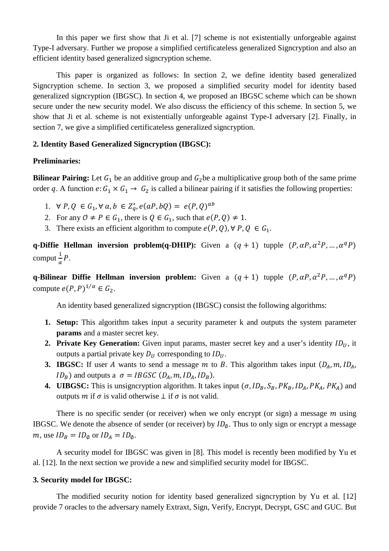In this paper we first show that Ji et al. [7] scheme is not existentially unforgeable against Type-I adversary. Further we propose a simplified certificateless generalized Signcryption and also an efficient identity based generalized signcryption scheme.

 This paper is organized as follows: In section 2, we define identity based generalized Signcryption scheme. In section 3, we proposed a simplified security model for identity based generalized signcryption (IBGSC). In section 4, we proposed an IBGSC scheme which can be shown secure under the new security model. We also discuss the efficiency of this scheme. In section 5, we show that Ji et al. scheme is not existentially unforgeable against Type-I adversary [2]. Finally, in section 7, we give a simplified certificateless generalized signcryption.

# **2. Identity Based Generalized Signcryption (IBGSC):**

### **Preliminaries:**

**Bilinear Pairing:** Let  $G_1$  be an additive group and  $G_2$  be a multiplicative group both of the same prime order q. A function  $e: G_1 \times G_1 \to G_2$  is called a bilinear pairing if it satisfies the following properties:

- 1.  $\forall P, Q \in G_1, \forall a, b \in Z_q^*, e(aP, bQ) = e(P, Q)^{ab}$
- 2. For any  $0 \neq P \in G_1$ , there is  $Q \in G_1$ , such that  $e(P, Q) \neq 1$ .
- 3. There exists an efficient algorithm to compute  $e(P, Q)$ ,  $\forall P, Q \in G_1$ .

**q-Diffie Hellman inversion problem(q-DHIP):** Given a  $(q + 1)$  tupple  $(P, \alpha P, \alpha^2 P, ..., \alpha^q P)$ comput  $\frac{1}{\alpha}P$ .

**q-Bilinear Diffie Hellman inversion problem:** Given a  $(q + 1)$  tupple  $(P, \alpha P, \alpha^2 P, ..., \alpha^q P)$ compute  $e(P, P)^{1/\alpha} \in G_2$ .

An identity based generalized signcryption (IBGSC) consist the following algorithms:

- **1. Setup:** This algorithm takes input a security parameter k and outputs the system parameter **params** and a master secret key.
- **2. Private Key Generation:** Given input params, master secret key and a user's identity  $ID_U$ , it outputs a partial private key  $D_{II}$  corresponding to  $ID_{II}$ .
- **3. IBGSC:** If user A wants to send a message m to B. This algorithm takes input  $(D_A, m, ID_A, \ldots, ID_A)$  $ID_B$ ) and outputs a  $\sigma = IBGSC(D_A, m, ID_A, ID_B)$ .
- **4. UIBGSC:** This is unsigncryption algorithm. It takes input  $(\sigma, ID_B, S_B, PK_B, ID_A, PK_A, PK_A)$  and outputs  $m$  if  $\sigma$  is valid otherwise  $\bot$  if  $\sigma$  is not valid.

There is no specific sender (or receiver) when we only encrypt (or sign) a message  $m$  using IBGSC. We denote the absence of sender (or receiver) by  $ID_{\varphi}$ . Thus to only sign or encrypt a message m, use  $ID_B = ID_{\emptyset}$  or  $ID_A = ID_{\emptyset}$ .

 A security model for IBGSC was given in [8]. This model is recently been modified by Yu et al. [12]. In the next section we provide a new and simplified security model for IBGSC.

### **3. Security model for IBGSC:**

The modified security notion for identity based generalized signcryption by Yu et al. [12] provide 7 oracles to the adversary namely Extraxt, Sign, Verify, Encrypt, Decrypt, GSC and GUC. But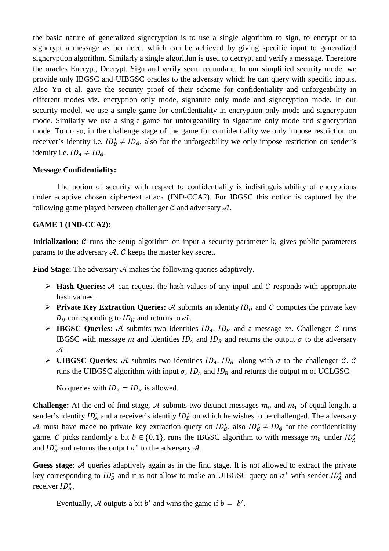the basic nature of generalized signcryption is to use a single algorithm to sign, to encrypt or to signcrypt a message as per need, which can be achieved by giving specific input to generalized signcryption algorithm. Similarly a single algorithm is used to decrypt and verify a message. Therefore the oracles Encrypt, Decrypt, Sign and verify seem redundant. In our simplified security model we provide only IBGSC and UIBGSC oracles to the adversary which he can query with specific inputs. Also Yu et al. gave the security proof of their scheme for confidentiality and unforgeability in different modes viz. encryption only mode, signature only mode and signcryption mode. In our security model, we use a single game for confidentiality in encryption only mode and signcryption mode. Similarly we use a single game for unforgeability in signature only mode and signcryption mode. To do so, in the challenge stage of the game for confidentiality we only impose restriction on receiver's identity i.e.  $ID_B^* \neq ID_{\emptyset}$ , also for the unforgeability we only impose restriction on sender's identity i.e.  $ID_A \neq ID_\emptyset$ .

### **Message Confidentiality:**

 The notion of security with respect to confidentiality is indistinguishability of encryptions under adaptive chosen ciphertext attack (IND-CCA2). For IBGSC this notion is captured by the following game played between challenger  $\mathcal C$  and adversary  $\mathcal A$ .

### **GAME 1 (IND-CCA2):**

**Initialization:** C runs the setup algorithm on input a security parameter k, gives public parameters params to the adversary  $A$ .  $C$  keeps the master key secret.

Find Stage: The adversary  $A$  makes the following queries adaptively.

- $\triangleright$  **Hash Queries:** A can request the hash values of any input and C responds with appropriate hash values.
- **Private Key Extraction Queries:**  $\mathcal{A}$  submits an identity  $ID_U$  and  $\mathcal{C}$  computes the private key  $D_{II}$  corresponding to  $ID_{II}$  and returns to A.
- **IBGSC Queries:** A submits two identities  $ID_A$ ,  $ID_B$  and a message m. Challenger C runs IBGSC with message m and identities  $ID_A$  and  $ID_B$  and returns the output  $\sigma$  to the adversary  $\mathcal{A}.$
- **EXEC Queries:** A submits two identities  $ID_A$ ,  $ID_B$  along with  $\sigma$  to the challenger C. C runs the UIBGSC algorithm with input  $\sigma$ ,  $ID_A$  and  $ID_B$  and returns the output m of UCLGSC.

No queries with  $ID_A = ID_B$  is allowed.

**Challenge:** At the end of find stage, A submits two distinct messages  $m_0$  and  $m_1$  of equal length, a sender's identity  $ID_A^*$  and a receiver's identity  $ID_B^*$  on which he wishes to be challenged. The adversary A must have made no private key extraction query on  $ID_B^*$ , also  $ID_B^* \neq ID_{\emptyset}$  for the confidentiality game. C picks randomly a bit  $b \in \{0, 1\}$ , runs the IBGSC algorithm to with message  $m_b$  under  $ID_A^*$ and  $ID_B^*$  and returns the output  $\sigma^*$  to the adversary  $\mathcal{A}$ .

Guess stage: A queries adaptively again as in the find stage. It is not allowed to extract the private key corresponding to  $ID_B^*$  and it is not allow to make an UIBGSC query on  $\sigma^*$  with sender  $ID_A^*$  and receiver  $ID_B^*$ .

Eventually, A outputs a bit b' and wins the game if  $b = b'$ .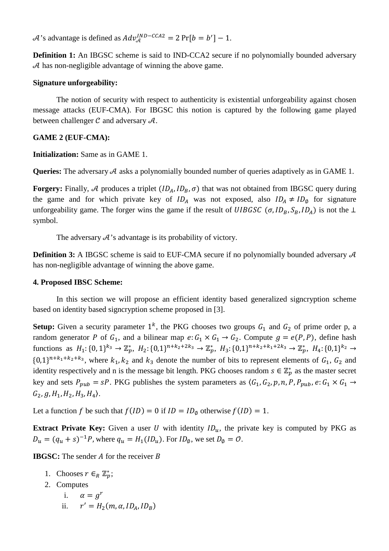$\mathcal{A}$ 's advantage is defined as  $Adv_{\mathcal{A}}^{IND-CCA2} = 2 \Pr[b = b'] - 1$ .

**Definition 1:** An IBGSC scheme is said to IND-CCA2 secure if no polynomially bounded adversary  $\mathcal A$  has non-negligible advantage of winning the above game.

# **Signature unforgeability:**

The notion of security with respect to authenticity is existential unforgeability against chosen message attacks (EUF-CMA). For IBGSC this notion is captured by the following game played between challenger  $\mathcal C$  and adversary  $\mathcal A$ .

# **GAME 2 (EUF-CMA):**

**Initialization:** Same as in GAME 1.

**Queries:** The adversary  $A$  asks a polynomially bounded number of queries adaptively as in GAME 1.

**Forgery:** Finally, A produces a triplet  $(ID_A, ID_B, \sigma)$  that was not obtained from IBGSC query during the game and for which private key of  $ID_A$  was not exposed, also  $ID_A \neq ID_\phi$  for signature unforgeability game. The forger wins the game if the result of  $UIBGSC$  ( $\sigma$ ,  $ID_B$ ,  $S_B$ ,  $ID_A$ ) is not the ⊥ symbol.

The adversary  $\mathcal{A}$ 's advantage is its probability of victory.

**Definition 3:** A IBGSC scheme is said to EUF-CMA secure if no polynomially bounded adversary  $A$ has non-negligible advantage of winning the above game.

# **4. Proposed IBSC Scheme:**

 In this section we will propose an efficient identity based generalized signcryption scheme based on identity based signcryption scheme proposed in [3].

**Setup:** Given a security parameter  $1^k$ , the PKG chooses two groups  $G_1$  and  $G_2$  of prime order p, a random generator P of  $G_1$ , and a bilinear map  $e: G_1 \times G_1 \rightarrow G_2$ . Compute  $g = e(P, P)$ , define hash functions as  $H_1: \{0, 1\}^{k_3} \to \mathbb{Z}_p^*, H_2: \{0, 1\}^{n+k_2+2k_3} \to \mathbb{Z}_p^*, H_3: \{0, 1\}^{n+k_2+k_1+2k_3} \to \mathbb{Z}_p^*, H_4: \{0, 1\}^{k_2} \to$  $\{0,1\}^{n+k_1+k_2+k_3}$ , where  $k_1, k_2$  and  $k_3$  denote the number of bits to represent elements of  $G_1, G_2$  and identity respectively and n is the message bit length. PKG chooses random  $s \in \mathbb{Z}_p^*$  as the master secret key and sets  $P_{pub} = sP$ . PKG publishes the system parameters as  $(G_1, G_2, p, n, P, P_{pub}, e: G_1 \times G_1 \rightarrow$  $G_2$ , g, H<sub>1</sub>, H<sub>2</sub>, H<sub>3</sub>, H<sub>4</sub>).

Let a function f be such that  $f(ID) = 0$  if  $ID = ID_{\emptyset}$  otherwise  $f(ID) = 1$ .

**Extract Private Key:** Given a user U with identity  $ID_u$ , the private key is computed by PKG as  $D_u = (q_u + s)^{-1}P$ , where  $q_u = H_1(ID_u)$ . For  $ID_\phi$ , we set  $D_\phi = O$ .

**IBGSC:** The sender  $\vec{A}$  for the receiver  $\vec{B}$ 

- 1. Chooses  $r \in_R \mathbb{Z}_p^*$ ;
- 2. Computes
	- i.  $\alpha = a^r$ ii.  $r' = H_2(m, \alpha, ID_A, ID_B)$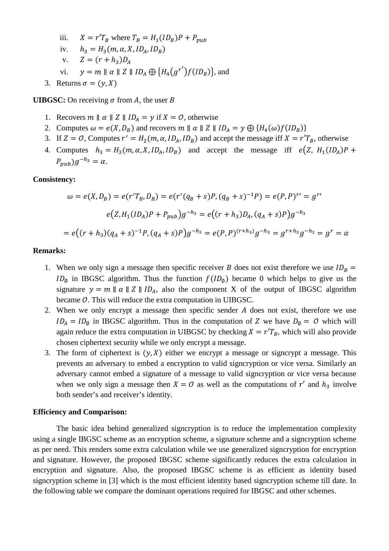iii.  $X = r'T_B$  where  $T_B = H_1(ID_B)P + P_{pub}$ iv.  $h_3 = H_3(m, \alpha, X, ID_A, ID_B)$ v.  $Z = (r + h_3)D_A$ 

- vi.  $y = m || \alpha || Z || ID_A \oplus \{H_4(g^{r'})f(ID_B)\}$ , and
- 3. Returns  $\sigma = (\gamma, X)$

**UIBGSC:** On receiving  $\sigma$  from A, the user B

- 1. Recovers  $m \parallel \alpha \parallel Z \parallel ID_A = y$  if  $X = 0$ , otherwise
- 2. Computes  $\omega = e(X, D_B)$  and recovers  $m \parallel \alpha \parallel Z \parallel ID_A = y \bigoplus \{H_4(\omega)f(ID_B)\}$
- 3. If  $Z = 0$ , Computes  $r' = H_2(m, \alpha, ID_A, ID_B)$  and accept the message iff  $X = r'T_B$ , otherwise
- 4. Computes  $h_3 = H_3(m, \alpha, X, ID_A, ID_B)$  and accept the message iff  $e(Z, H_1(ID_A)P +$  $P_{pub}$ ) $g^{-h_3} = \alpha$ .

### **Consistency:**

$$
\omega = e(X, D_B) = e(r'T_B, D_B) = e(r'(q_B + s)P, (q_B + s)^{-1}P) = e(P, P)^{r'} = g^{r'}
$$
  

$$
e(Z, H_1(ID_A)P + P_{pub})g^{-h_3} = e((r + h_3)D_A, (q_A + s)P)g^{-h_3}
$$
  

$$
= e((r + h_3)(q_A + s)^{-1}P, (q_A + s)P)g^{-h_3} = e(P, P)^{(r + h_3)}g^{-h_3} = g^{r + h_3}g^{-h_3} = g^r = \alpha
$$

#### **Remarks:**

- 1. When we only sign a message then specific receiver B does not exist therefore we use  $ID_B =$  $ID_{\emptyset}$  in IBGSC algorithm. Thus the function  $f(ID_{\emptyset})$  became 0 which helps to give us the signature  $y = m || \alpha || Z || ID_A$ , also the component X of the output of IBGSC algorithm became  $O$ . This will reduce the extra computation in UIBGSC.
- 2. When we only encrypt a message then specific sender  $A$  does not exist, therefore we use  $ID_A = ID_\phi$  in IBGSC algorithm. Thus in the computation of Z we have  $D_\phi = O$  which will again reduce the extra computation in UIBGSC by checking  $X = r'T_B$ , which will also provide chosen ciphertext security while we only encrypt a message.
- 3. The form of ciphertext is  $(y, X)$  either we encrypt a message or signcrypt a message. This prevents an adversary to embed a encryption to valid signcryption or vice versa. Similarly an adversary cannot embed a signature of a message to valid signcryption or vice versa because when we only sign a message then  $X = O$  as well as the computations of r' and  $h_3$  involve both sender's and receiver's identity.

#### **Efficiency and Comparison:**

 The basic idea behind generalized signcryption is to reduce the implementation complexity using a single IBGSC scheme as an encryption scheme, a signature scheme and a signcryption scheme as per need. This renders some extra calculation while we use generalized signcryption for encryption and signature. However, the proposed IBGSC scheme significantly reduces the extra calculation in encryption and signature. Also, the proposed IBGSC scheme is as efficient as identity based signcryption scheme in [3] which is the most efficient identity based signcryption scheme till date. In the following table we compare the dominant operations required for IBGSC and other schemes.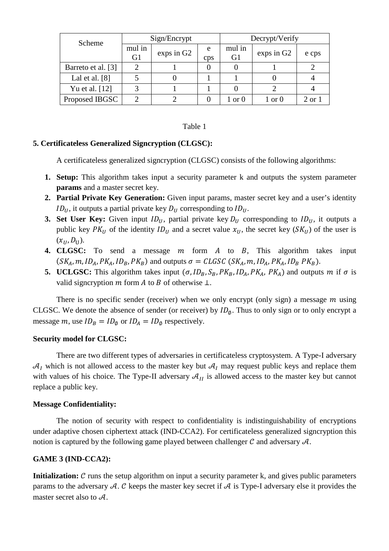| Scheme             | Sign/Encrypt             |            |          | Decrypt/Verify    |            |        |
|--------------------|--------------------------|------------|----------|-------------------|------------|--------|
|                    | mul in<br>G <sub>1</sub> | exps in G2 | e<br>cps | mul in<br>G1      | exps in G2 | e cps  |
| Barreto et al. [3] |                          |            |          |                   |            |        |
| Lal et al. $[8]$   |                          |            |          |                   |            |        |
| Yu et al. [12]     |                          |            |          |                   |            |        |
| Proposed IBGSC     |                          |            |          | $1 \text{ or } 0$ | 1 or 0     | 2 or 1 |

### Table 1

### **5. Certificateless Generalized Signcryption (CLGSC):**

A certificateless generalized signcryption (CLGSC) consists of the following algorithms:

- **1. Setup:** This algorithm takes input a security parameter k and outputs the system parameter **params** and a master secret key.
- **2. Partial Private Key Generation:** Given input params, master secret key and a user's identity  $ID_U$ , it outputs a partial private key  $D_U$  corresponding to  $ID_U$ .
- **3. Set User Key:** Given input  $ID_{U}$ , partial private key  $D_{U}$  corresponding to  $ID_{U}$ , it outputs a public key  $PK_U$  of the identity  $ID_U$  and a secret value  $x_U$ , the secret key ( $SK_U$ ) of the user is  $(x_{II}, D_{II}).$
- **4. CLGSC:** To send a message m form A to B, This algorithm takes input  $(SK_A, m, ID_A, PK_A, ID_B, PK_B)$  and outputs  $\sigma = CLGSC(SK_A, m, ID_A, PK_A, ID_B, PK_B).$
- **5. UCLGSC:** This algorithm takes input  $(\sigma, ID_B, S_B, PK_B, ID_A, PK_A, PK_A)$  and outputs m if  $\sigma$  is valid signcryption  $m$  form  $A$  to  $B$  of otherwise  $\bot$ .

There is no specific sender (receiver) when we only encrypt (only sign) a message  $m$  using CLGSC. We denote the absence of sender (or receiver) by  $ID_{\varphi}$ . Thus to only sign or to only encrypt a message m, use  $ID_B = ID_\emptyset$  or  $ID_A = ID_\emptyset$  respectively.

### **Security model for CLGSC:**

 There are two different types of adversaries in certificateless cryptosystem. A Type-I adversary  $A_I$  which is not allowed access to the master key but  $A_I$  may request public keys and replace them with values of his choice. The Type-II adversary  $A_{II}$  is allowed access to the master key but cannot replace a public key.

### **Message Confidentiality:**

 The notion of security with respect to confidentiality is indistinguishability of encryptions under adaptive chosen ciphertext attack (IND-CCA2). For certificateless generalized signcryption this notion is captured by the following game played between challenger  $\mathcal C$  and adversary  $\mathcal A$ .

### **GAME 3 (IND-CCA2):**

**Initialization:**  $\mathcal{C}$  runs the setup algorithm on input a security parameter k, and gives public parameters params to the adversary A. C keeps the master key secret if A is Type-I adversary else it provides the master secret also to  $\mathcal{A}$ .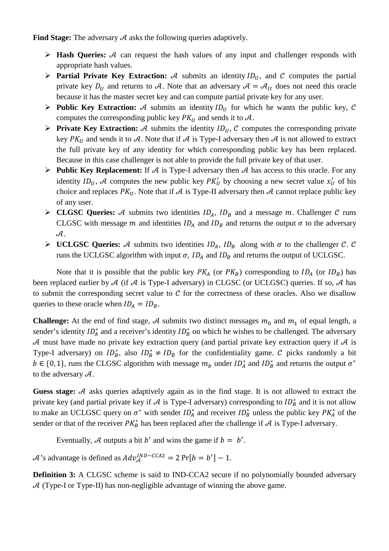**Find Stage:** The adversary  $A$  asks the following queries adaptively.

- $\triangleright$  **Hash Queries:** A can request the hash values of any input and challenger responds with appropriate hash values.
- **Partial Private Key Extraction:** A submits an identity  $ID_{II}$ , and C computes the partial private key  $D_{II}$  and returns to A. Note that an adversary  $A = A_{II}$  does not need this oracle because it has the master secret key and can compute partial private key for any user.
- **Public Key Extraction:** A submits an identity  $ID_U$  for which he wants the public key, C computes the corresponding public key  $PK_{II}$  and sends it to  $A$ .
- **Private Key Extraction:** A submits the identity  $ID_{II}$ , C computes the corresponding private key  $PK_{II}$  and sends it to A. Note that if A is Type-I adversary then A is not allowed to extract the full private key of any identity for which corresponding public key has been replaced. Because in this case challenger is not able to provide the full private key of that user.
- **Public Key Replacement:** If  $A$  is Type-I adversary then  $A$  has access to this oracle. For any identity  $ID_U$ , A computes the new public key  $PK'_U$  by choosing a new secret value  $x'_U$  of his choice and replaces  $PK_{U}$ . Note that if A is Type-II adversary then A cannot replace public key of any user.
- **CLGSC Queries:** A submits two identities  $ID_A$ ,  $ID_B$  and a message m. Challenger C runs CLGSC with message m and identities  $ID_A$  and  $ID_B$  and returns the output  $\sigma$  to the adversary  $\mathcal{A}.$
- **EXEC Queries:** A submits two identities  $ID_A$ ,  $ID_B$  along with  $\sigma$  to the challenger C. C runs the UCLGSC algorithm with input  $\sigma$ ,  $ID_A$  and  $ID_B$  and returns the output of UCLGSC.

Note that it is possible that the public key  $PK_A$  (or  $PK_B$ ) corresponding to  $ID_A$  (or  $ID_B$ ) has been replaced earlier by  $A$  (if  $A$  is Type-I adversary) in CLGSC (or UCLGSC) queries. If so,  $A$  has to submit the corresponding secret value to  $C$  for the correctness of these oracles. Also we disallow queries to these oracle when  $ID_A = ID_B$ .

**Challenge:** At the end of find stage, A submits two distinct messages  $m_0$  and  $m_1$  of equal length, a sender's identity  $ID_A^*$  and a receiver's identity  $ID_B^*$  on which he wishes to be challenged. The adversary  $\mathcal A$  must have made no private key extraction query (and partial private key extraction query if  $\mathcal A$  is Type-I adversary) on  $ID_B^*$ , also  $ID_B^* \neq ID_\emptyset$  for the confidentiality game. C picks randomly a bit  $b \in \{0, 1\}$ , runs the CLGSC algorithm with message  $m_b$  under  $ID_A^*$  and  $ID_B^*$  and returns the output  $\sigma^*$ to the adversary  $\mathcal{A}$ .

Guess stage: A asks queries adaptively again as in the find stage. It is not allowed to extract the private key (and partial private key if  $A$  is Type-I adversary) corresponding to  $ID_B^*$  and it is not allow to make an UCLGSC query on  $\sigma^*$  with sender  $ID_A^*$  and receiver  $ID_B^*$  unless the public key  $PK_A^*$  of the sender or that of the receiver  $PK_B^*$  has been replaced after the challenge if  $\mathcal A$  is Type-I adversary.

Eventually, A outputs a bit b' and wins the game if  $b = b'$ .

 $\mathcal{A}$ 's advantage is defined as  $Adv_{\mathcal{A}}^{IND-CCA2} = 2 \Pr[b = b'] - 1$ .

**Definition 3:** A CLGSC scheme is said to IND-CCA2 secure if no polynomially bounded adversary  $A$  (Type-I or Type-II) has non-negligible advantage of winning the above game.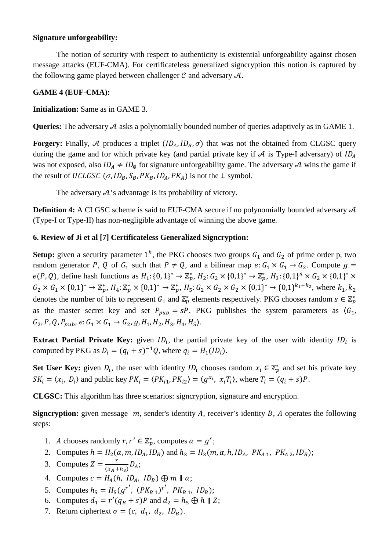### **Signature unforgeability:**

The notion of security with respect to authenticity is existential unforgeability against chosen message attacks (EUF-CMA). For certificateless generalized signcryption this notion is captured by the following game played between challenger  $\mathcal C$  and adversary  $\mathcal A$ .

### **GAME 4 (EUF-CMA):**

# **Initialization:** Same as in GAME 3.

**Queries:** The adversary  $A$  asks a polynomially bounded number of queries adaptively as in GAME 1.

**Forgery:** Finally, A produces a triplet  $(ID_A, ID_B, \sigma)$  that was not the obtained from CLGSC query during the game and for which private key (and partial private key if  $A$  is Type-I adversary) of  $ID_A$ was not exposed, also  $ID_A \neq ID_\phi$  for signature unforgeability game. The adversary A wins the game if the result of UCLGSC ( $\sigma$ ,  $ID_B$ ,  $S_B$ ,  $PK_B$ ,  $ID_A$ ,  $PK_A$ ) is not the  $\perp$  symbol.

The adversary  $A'$ 's advantage is its probability of victory.

**Definition 4:** A CLGSC scheme is said to EUF-CMA secure if no polynomially bounded adversary  $A$ (Type-I or Type-II) has non-negligible advantage of winning the above game.

# **6. Review of Ji et al [7] Certificateless Generalized Signcryption:**

**Setup:** given a security parameter  $1^k$ , the PKG chooses two groups  $G_1$  and  $G_2$  of prime order p, two random generator P, Q of  $G_1$  such that  $P \neq Q$ , and a bilinear map  $e: G_1 \times G_1 \rightarrow G_2$ . Compute  $g =$  $e(P, Q)$ , define hash functions as  $H_1: \{0, 1\}^* \to \mathbb{Z}_p^*$ ,  $H_2: G_2 \times \{0, 1\}^* \to \mathbb{Z}_p^*$ ,  $H_3: \{0, 1\}^n \times G_2 \times \{0, 1\}^* \times$  $G_2 \times G_1 \times \{0,1\}^* \to \mathbb{Z}_p^*, H_4: \mathbb{Z}_p^* \times \{0,1\}^* \to \mathbb{Z}_p^*, H_5: G_2 \times G_2 \times G_2 \times \{0,1\}^* \to \{0,1\}^{k_1+k_2}$ , where  $k_1, k_2$ denotes the number of bits to represent  $G_1$  and  $\mathbb{Z}_p^*$  elements respectively. PKG chooses random  $s \in \mathbb{Z}_p^*$ as the master secret key and set  $P_{pub} = sP$ . PKG publishes the system parameters as  $\langle G_1, G_2, G_3, G_4 \rangle$  $G_2, P, Q, P_{pub}, e: G_1 \times G_1 \rightarrow G_2, g, H_1, H_2, H_3, H_4, H_5$ .

**Extract Partial Private Key:** given  $ID_i$ , the partial private key of the user with identity  $ID_i$  is computed by PKG as  $D_i = (q_i + s)^{-1}Q$ , where  $q_i = H_1(ID_i)$ .

**Set User Key:** given  $D_i$ , the user with identity  $ID_i$  chooses random  $x_i \in \mathbb{Z}_p^*$  and set his private key  $SK_i = \langle x_i, D_i \rangle$  and public key  $PK_i = \langle PK_{i1}, PK_{i2} \rangle = \langle g^{x_i}, x_iT_i \rangle$ , where  $T_i = (q_i + s)P$ .

**CLGSC:** This algorithm has three scenarios: signcryption, signature and encryption.

**Signcryption:** given message  $m$ , sender's identity  $A$ , receiver's identity  $B$ ,  $A$  operates the following steps:

- 1. A chooses randomly  $r, r' \in \mathbb{Z}_p^*$ , computes  $\alpha = g^r$ ;
- 2. Computes  $h = H_2(\alpha, m, ID_A, ID_B)$  and  $h_3 = H_3(m, \alpha, h, ID_A, PK_{A,1}, PK_{A,2}, ID_B);$
- 3. Computes  $Z = \frac{r}{(x_A + h_3)} D_A$ ;
- 4. Computes  $c = H_4(h, ID_A, ID_B) \oplus m \parallel \alpha;$
- 5. Computes  $h_5 = H_5(g^{r'} , (PK_{B1})^{r'} , PK_{B1}, ID_B);$
- 6. Computes  $d_1 = r'(q_B + s)P$  and  $d_2 = h_5 \bigoplus h \parallel Z$ ;
- 7. Return ciphertext  $\sigma = (c, d_1, d_2, ID_B)$ .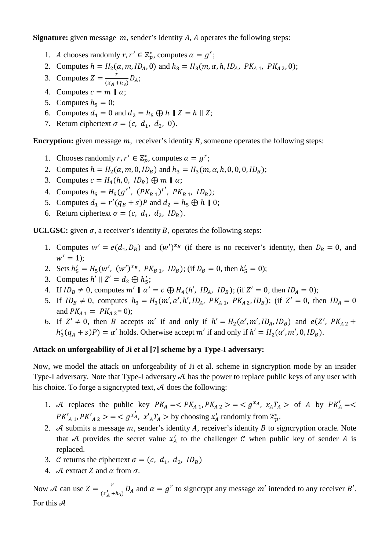**Signature:** given message  $m$ , sender's identity  $A$ ,  $A$  operates the following steps:

- 1. A chooses randomly  $r, r' \in \mathbb{Z}_p^*$ , computes  $\alpha = g^r$ ;
- 2. Computes  $h = H_2(\alpha, m, ID_A, 0)$  and  $h_3 = H_3(m, \alpha, h, ID_A, PK_{A, 1}, PK_{A, 2}, 0);$
- 3. Computes  $Z = \frac{r}{(x_A + h_3)} D_A$ ;
- 4. Computes  $c = m || \alpha;$
- 5. Computes  $h_5 = 0$ ;
- 6. Computes  $d_1 = 0$  and  $d_2 = h_5 \oplus h \parallel Z = h \parallel Z$ ;
- 7. Return ciphertext  $\sigma = (c, d_1, d_2, 0)$ .

**Encryption:** given message  $m$ , receiver's identity  $B$ , someone operates the following steps:

- 1. Chooses randomly  $r, r' \in \mathbb{Z}_p^*$ , computes  $\alpha = g^r$ ;
- 2. Computes  $h = H_2(\alpha, m, 0, ID_B)$  and  $h_3 = H_3(m, \alpha, h, 0, 0, 0, ID_B);$
- 3. Computes  $c = H_4(h, 0, ID_B) \oplus m \parallel \alpha;$
- 4. Computes  $h_5 = H_5(g^{r'} , (PK_{B1})^{r'} , PK_{B1}, ID_B);$
- 5. Computes  $d_1 = r'(q_B + s)P$  and  $d_2 = h_5 \bigoplus h \parallel 0;$
- 6. Return ciphertext  $\sigma = (c, d_1, d_2, ID_B)$ .

**UCLGSC:** given  $\sigma$ , a receiver's identity  $B$ , operates the following steps:

- 1. Computes  $w' = e(d_1, D_B)$  and  $(w')^{x_B}$  (if there is no receiver's identity, then  $D_B = 0$ , and  $w' = 1);$
- 2. Sets  $h'_5 = H_5(w', (w')^{x_B}, PK_{B_1}, ID_B)$ ; (if  $D_B = 0$ , then  $h'_5 = 0$ );
- 3. Computes  $h' \parallel Z' = d_2 \bigoplus h'_5;$
- 4. If  $ID_B \neq 0$ , computes  $m' \parallel \alpha' = c \bigoplus H_4(h', ID_A, ID_B)$ ; (if  $Z' = 0$ , then  $ID_A = 0$ );
- 5. If  $ID_B \neq 0$ , computes  $h_3 = H_3(m', \alpha', h', ID_A, PK_{A_1}, PK_{A_2}, ID_B)$ ; (if  $Z' = 0$ , then  $ID_A = 0$ and  $PK_{A_1} = PK_{A_2} = 0$ ;
- 6. If  $Z' \neq 0$ , then B accepts m' if and only if  $h' = H_2(\alpha', m', ID_A, ID_B)$  and  $e(Z', PK_{A2} +$  $h'_3(q_A + s)P$  =  $\alpha'$  holds. Otherwise accept  $m'$  if and only if  $h' = H_2(\alpha', m', 0, ID_B)$ .

### **Attack on unforgeability of Ji et al [7] scheme by a Type-I adversary:**

Now, we model the attack on unforgeability of Ji et al. scheme in signcryption mode by an insider Type-I adversary. Note that Type-I adversary  $A$  has the power to replace public keys of any user with his choice. To forge a signcrypted text,  $A$  does the following:

- 1. A replaces the public key  $PK_A = \langle PK_{A_1}, PK_{A_2} \rangle = \langle g^{x_A}, x_A T_A \rangle$  of A by  $PK'_A = \langle$  $PK'_{A,1}$ ,  $PK'_{A,2}$  > = <  $g^{x'_{A}}, x'_{A}T_{A}$  > by choosing  $x'_{A}$  randomly from  $\mathbb{Z}_{p}^{*}$ .
- 2.  $\mathcal A$  submits a message  $m$ , sender's identity  $\mathcal A$ , receiver's identity  $\mathcal B$  to signcryption oracle. Note that A provides the secret value  $x'_A$  to the challenger C when public key of sender A is replaced.
- 3. C returns the ciphertext  $\sigma = (c, d_1, d_2, ID_B)$
- 4. A extract Z and  $\alpha$  from  $\sigma$ .

Now A can use  $Z = \frac{r}{(x'_A + h_3)} D_A$  and  $\alpha = g^r$  to signcrypt any message m' intended to any receiver B'. For this  $A$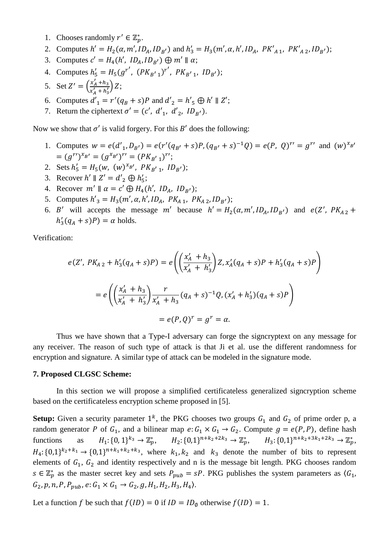- 1. Chooses randomly  $r' \in \mathbb{Z}_p^*$ .
- 2. Computes  $h' = H_2(\alpha, m', ID_A, ID_{B'})$  and  $h'_3 = H_3(m', \alpha, h', ID_A, PK'_{A,1}, PK'_{A,2}, ID_{B'});$
- 3. Computes  $c' = H_4(h', ID_A, ID_{B'}) \oplus m' \parallel \alpha;$
- 4. Computes  $h'_5 = H_5(g^{r'}, (PK_{B'1})^{r'}, PK_{B'1}, ID_{B'});$
- 5. Set  $Z' = \left(\frac{x'_A + h_3}{x'_A + h'_2}\right)$  $\frac{x_A + n_3}{x'_A + n'_3}$  Z;
- 6. Computes  $d'_1 = r'(q_B + s)P$  and  $d'_2 = h'_5 \oplus h' \parallel Z';$
- 7. Return the ciphertext  $\sigma' = (c', d'_1, d'_2, ID_{B'})$ .

Now we show that  $\sigma'$  is valid forgery. For this B' does the following:

- 1. Computes  $w = e(d'_1, D_{B'}) = e(r'(q_{B'} + s)P, (q_{B'} + s)^{-1}Q) = e(P, Q)^{r'} = g^{r'}$  and  $(w)^{x_{B'}}$  $=(g^{r})^{x_{B'}}=(g^{x_{B'}})^{r'}=(PK_{B'1})^{r'};$
- 2. Sets  $h'_5 = H_5(w, (w)^{x_{B'}}, PK_{B'1}, ID_{B'});$
- 3. Recover  $h' \parallel Z' = d'_2 \oplus h'_5$ ;
- 4. Recover  $m' \parallel \alpha = c' \bigoplus H_4(h', ID_A, ID_{B'});$
- 5. Computes  $h'_{3} = H_{3}(m', \alpha, h', ID_{A}, PK_{A_{1}}, PK_{A_{2}}, ID_{B'})$ ;
- 6. B' will accepts the message m' because  $h' = H_2(\alpha, m', ID_A, ID_{B'})$  and  $e(Z', PK_{A2} +$  $h'_3(q_A + s)P$  =  $\alpha$  holds.

Verification:

$$
e(Z', PK_{A2} + h'_3(q_A + s)P) = e\left(\left(\frac{x'_A + h_3}{x'_A + h'_3}\right)Z, x'_A(q_A + s)P + h'_3(q_A + s)P\right)
$$
  
=  $e\left(\left(\frac{x'_A + h_3}{x'_A + h'_3}\right)\frac{r}{x'_A + h_3}(q_A + s)^{-1}Q, (x'_A + h'_3)(q_A + s)P\right)$   
=  $e(P, Q)^r = g^r = \alpha.$ 

Thus we have shown that a Type-I adversary can forge the signcryptext on any message for any receiver. The reason of such type of attack is that Ji et al. use the different randomness for encryption and signature. A similar type of attack can be modeled in the signature mode.

#### **7. Proposed CLGSC Scheme:**

 In this section we will propose a simplified certificateless generalized signcryption scheme based on the certificateless encryption scheme proposed in [5].

**Setup:** Given a security parameter  $1^k$ , the PKG chooses two groups  $G_1$  and  $G_2$  of prime order p, a random generator P of  $G_1$ , and a bilinear map  $e: G_1 \times G_1 \rightarrow G_2$ . Compute  $g = e(P, P)$ , define hash functions as  $:(0,1)^{k_3}\to \mathbb{Z}_p^*, \qquad H_2:\{0,1\}^{n+k_2+2k_3}\to \mathbb{Z}_p^*, \qquad H_3:\{0,1\}^{n+k_2+3k_1+2k_3}\to \mathbb{Z}_p^*,$  $H_4$ : {0,1}<sup> $k_2+k_1 \rightarrow$ </sup> {0,1}<sup>n+k<sub>1</sub>+k<sub>2</sub>+k<sub>3</sub>, where  $k_1, k_2$  and  $k_3$  denote the number of bits to represent</sup> elements of  $G_1$ ,  $G_2$  and identity respectively and n is the message bit length. PKG chooses random  $s \in \mathbb{Z}_p^*$  as the master secret key and sets  $P_{pub} = sP$ . PKG publishes the system parameters as  $\langle G_1, G_2, G_3, G_4 \rangle$  $G_2, p, n, P, P_{pub}, e: G_1 \times G_1 \rightarrow G_2, g, H_1, H_2, H_3, H_4$ .

Let a function f be such that  $f(ID) = 0$  if  $ID = ID_{\emptyset}$  otherwise  $f(ID) = 1$ .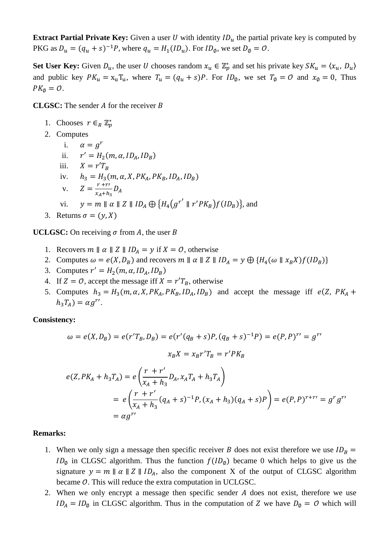**Extract Partial Private Key:** Given a user U with identity  $ID_u$  the partial private key is computed by PKG as  $D_u = (q_u + s)^{-1}P$ , where  $q_u = H_1(ID_u)$ . For  $ID_\phi$ , we set  $D_\phi = O$ .

Set User Key: Given  $D_u$ , the user U chooses random  $x_u \in \mathbb{Z}_p^*$  and set his private key  $SK_u = \langle x_u, D_u \rangle$ and public key  $PK_u = x_uT_u$ , where  $T_u = (q_u + s)P$ . For  $ID_\phi$ , we set  $T_\phi = O$  and  $x_\phi = 0$ , Thus  $PK_{\emptyset} = \mathcal{O}.$ 

**CLGSC:** The sender  $\overline{A}$  for the receiver  $\overline{B}$ 

- 1. Chooses  $r \in_R \mathbb{Z}_p^*$
- 2. Computes
	- i.  $\alpha = a^r$ ii.  $r' = H_2(m, \alpha, ID_A, ID_B)$ iii.  $X = r'T_B$ iv.  $h_3 = H_3(m, \alpha, X, PK_A, PK_B, ID_A, ID_B)$ v.  $Z = \frac{r + r'}{x_A + h_3} D_A$ vi.  $y = m || \alpha || Z || ID_A \oplus \{ H_4(g^{r'} || r'PK_B)f(ID_B)\},$  and
- 3. Returns  $\sigma = (y, X)$

**UCLGSC:** On receiving  $\sigma$  from A, the user B

- 1. Recovers  $m \parallel \alpha \parallel Z \parallel ID_A = y$  if  $X = 0$ , otherwise
- 2. Computes  $\omega = e(X, D_B)$  and recovers  $m \parallel \alpha \parallel Z \parallel ID_A = y \bigoplus \{H_4(\omega \parallel x_B X)f(ID_B)\}$
- 3. Computes  $r' = H_2(m, \alpha, ID_A, ID_B)$
- 4. If  $Z = 0$ , accept the message iff  $X = r'T_B$ , otherwise
- 5. Computes  $h_3 = H_3(m, \alpha, X, PK_A, PK_B, ID_A, ID_B)$  and accept the message iff  $e(Z, PK_A +$  $h_3 T_A) = \alpha g^{r}$ .

**Consistency:** 

$$
\omega = e(X, D_B) = e(r'T_B, D_B) = e(r'(q_B + s)P, (q_B + s)^{-1}P) = e(P, P)^{r'} = g^{r'}
$$

$$
x_B X = x_B r'T_B = r'PK_B
$$

$$
e(Z, PK_A + h_3T_A) = e\left(\frac{r + r'}{x_A + h_3}D_A, x_AT_A + h_3T_A\right)
$$
  
=  $e\left(\frac{r + r'}{x_A + h_3}(q_A + s)^{-1}P, (x_A + h_3)(q_A + s)P\right) = e(P, P)^{r + r'} = g^r g^{r'}$   
=  $\alpha g^{r'}$ 

#### **Remarks:**

- 1. When we only sign a message then specific receiver B does not exist therefore we use  $ID_B =$  $ID_{\emptyset}$  in CLGSC algorithm. Thus the function  $f(ID_{\emptyset})$  became 0 which helps to give us the signature  $y = m || \alpha || Z || ID_A$ , also the component X of the output of CLGSC algorithm became  $O$ . This will reduce the extra computation in UCLGSC.
- 2. When we only encrypt a message then specific sender  $A$  does not exist, therefore we use  $ID_A = ID_\phi$  in CLGSC algorithm. Thus in the computation of Z we have  $D_\phi = O$  which will